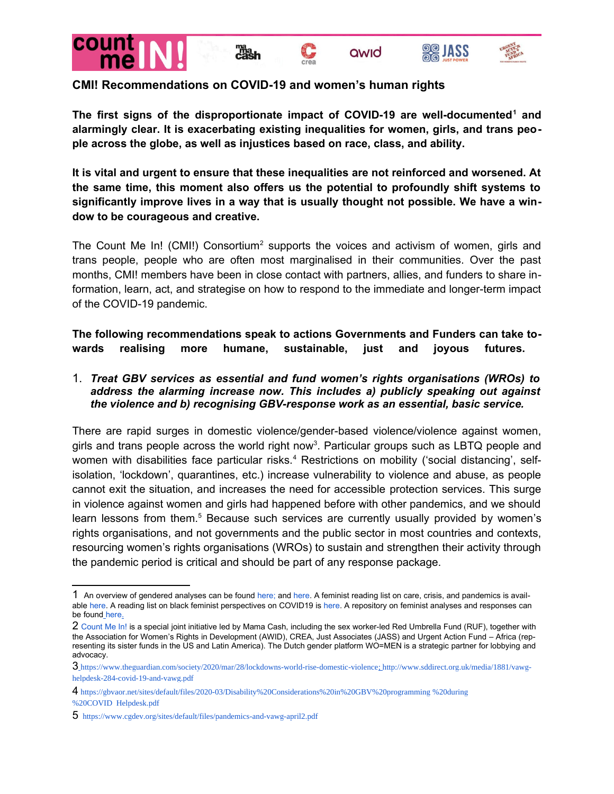

## **CMI! Recommendations on COVID-19 and women's human rights**

**The first signs of the disproportionate impact of COVID-19 are well-documented[1](#page-0-0) and alarmingly clear. It is exacerbating existing inequalities for women, girls, and trans people across the globe, as well as injustices based on race, class, and ability.**

**It is vital and urgent to ensure that these inequalities are not reinforced and worsened. At the same time, this moment also offers us the potential to profoundly shift systems to significantly improve lives in a way that is usually thought not possible. We have a window to be courageous and creative.**

The Count Me In! (CMI!) Consortium<sup>[2](#page-0-1)</sup> supports the voices and activism of women, girls and trans people, people who are often most marginalised in their communities. Over the past months, CMI! members have been in close contact with partners, allies, and funders to share information, learn, act, and strategise on how to respond to the immediate and longer-term impact of the COVID-19 pandemic.

**The following recommendations speak to actions Governments and Funders can take towards realising more humane, sustainable, just and joyous futures.** 

1. *Treat GBV services as essential and fund women's rights organisations (WROs) to address the alarming increase now. This includes a) publicly speaking out against the violence and b) recognising GBV-response work as an essential, basic service.* 

There are rapid surges in domestic violence/gender-based violence/violence against women, girls and trans people across the world right now<sup>[3](#page-0-2)</sup>. Particular groups such as LBTQ people and women with disabilities face particular risks.<sup>[4](#page-0-3)</sup> Restrictions on mobility ('social distancing', selfisolation, 'lockdown', quarantines, etc.) increase vulnerability to violence and abuse, as people cannot exit the situation, and increases the need for accessible protection services. This surge in violence against women and girls had happened before with other pandemics, and we should learn lessons from them.<sup>[5](#page-0-4)</sup> Because such services are currently usually provided by women's rights organisations, and not governments and the public sector in most countries and contexts, resourcing women's rights organisations (WROs) to sustain and strengthen their activity through the pandemic period is critical and should be part of any response package.

<span id="page-0-0"></span><sup>1</sup> An overview of gendered analyses can be found [here;](https://data2x.org/resource-center/gender-and-data-resources-related-to-covid-19/?fbclid=IwAR3hlCNJ5hSnvtKhJur5eSKy6C-z-9-UT56qoV2AA7pFZNH0iDht4aMML6k) and [here.](https://centreforfeministforeignpolicy.org/feminist-resources-on-the-pandemic) A feminist reading list on care, crisis, and pandemics is available [here](https://medium.com/@awino.okech/a-feminist-reading-list-on-care-crisis-and-pandemics-eaf77a9d293b). A reading list on black feminist perspectives on COVID19 is [here](https://www.blackwomenradicals.com/blog-feed/black-feminist-perspectives-on-covid-19-a-reading-list). A repository on feminist analyses and responses can be found [here](https://www.feministcovidresponse.com/).

<span id="page-0-1"></span><sup>2</sup> [Count Me In!](https://www.mamacash.org/en/count-me-in-consortium) is a special joint initiative led by Mama Cash, including the sex worker-led Red Umbrella Fund (RUF), together with the Association for Women's Rights in Development (AWID), CREA, Just Associates (JASS) and Urgent Action Fund – Africa (representing its sister funds in the US and Latin America). The Dutch gender platform WO=MEN is a strategic partner for lobbying and advocacy.

<span id="page-0-2"></span><sup>3</sup> <https://www.theguardian.com/society/2020/mar/28/lockdowns-world-rise-domestic-violence> ; [http://www.sddirect.org.uk/media/1881/vawg](http://www.sddirect.org.uk/media/1881/vawg-helpdesk-284-covid-19-and-vawg.pdf)[helpdesk-284-covid-19-and-vawg.pdf](http://www.sddirect.org.uk/media/1881/vawg-helpdesk-284-covid-19-and-vawg.pdf)

<span id="page-0-3"></span><sup>4</sup> [https://gbvaor.net/sites/default/files/2020-03/Disability%20Considerations%20in%20GBV%20programming %20during](https://gbvaor.net/sites/default/files/2020-03/Disability%2520Considerations%2520in%2520GBV%2520programming%2520during%2520COVID_Helpdesk.pdf) [%20COVID\\_Helpdesk.pdf](https://gbvaor.net/sites/default/files/2020-03/Disability%2520Considerations%2520in%2520GBV%2520programming%2520during%2520COVID_Helpdesk.pdf)

<span id="page-0-4"></span><sup>5</sup> <https://www.cgdev.org/sites/default/files/pandemics-and-vawg-april2.pdf>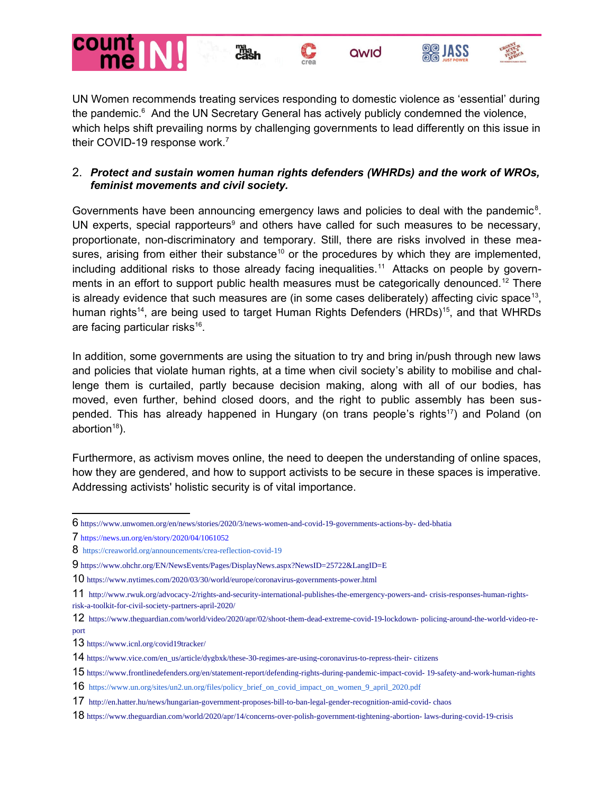









UN Women recommends treating services responding to domestic violence as 'essential' during the pandemic.<sup>[6](#page-1-0)</sup> And the UN Secretary General has actively publicly condemned the violence, which helps shift prevailing norms by challenging governments to lead differently on this issue in their COVID-19 response work.<sup>[7](#page-1-1)</sup>

## 2. *Protect and sustain women human rights defenders (WHRDs) and the work of WROs, feminist movements and civil society.*

Governments have been announcing emergency laws and policies to deal with the pandemic<sup>[8](#page-1-2)</sup>. UN experts, special rapporteurs $9$  and others have called for such measures to be necessary, proportionate, non-discriminatory and temporary. Still, there are risks involved in these mea-sures, arising from either their substance<sup>[10](#page-1-4)</sup> or the procedures by which they are implemented, including additional risks to those already facing inequalities.<sup>[11](#page-1-5)</sup> Attacks on people by govern-ments in an effort to support public health measures must be categorically denounced.<sup>[12](#page-1-6)</sup> There is already evidence that such measures are (in some cases deliberately) affecting civic space<sup>[13](#page-1-7)</sup>, human rights<sup>[14](#page-1-8)</sup>, are being used to target Human Rights Defenders (HRDs)<sup>[15](#page-1-9)</sup>, and that WHRDs are facing particular risks<sup>[16](#page-1-10)</sup>.

In addition, some governments are using the situation to try and bring in/push through new laws and policies that violate human rights, at a time when civil society's ability to mobilise and challenge them is curtailed, partly because decision making, along with all of our bodies, has moved, even further, behind closed doors, and the right to public assembly has been sus-pended. This has already happened in Hungary (on trans people's rights<sup>[17](#page-1-11)</sup>) and Poland (on abortion $18$ ).

Furthermore, as activism moves online, the need to deepen the understanding of online spaces, how they are gendered, and how to support activists to be secure in these spaces is imperative. Addressing activists' holistic security is of vital importance.

<span id="page-1-0"></span><sup>6</sup> [https://www.unwomen.org/en/news/stories/2020/3/news-women-and-covid-19-governments-actions-by- ded-bhatia](https://www.unwomen.org/en/news/stories/2020/3/news-women-and-covid-19-governments-actions-by-ded-bhatia)

<span id="page-1-1"></span><sup>7</sup> <https://news.un.org/en/story/2020/04/1061052>

<span id="page-1-2"></span><sup>8</sup> <https://creaworld.org/announcements/crea-reflection-covid-19>

<span id="page-1-3"></span><sup>9</sup> <https://www.ohchr.org/EN/NewsEvents/Pages/DisplayNews.aspx?NewsID=25722&LangID=E>

<span id="page-1-4"></span><sup>10</sup> <https://www.nytimes.com/2020/03/30/world/europe/coronavirus-governments-power.html>

<span id="page-1-5"></span><sup>11</sup> [http://www.rwuk.org/advocacy-2/rights-and-security-international-publishes-the-emergency-powers-and- crisis-responses-human-rights](http://www.rwuk.org/advocacy-2/rights-and-security-international-publishes-the-emergency-powers-and-crisis-responses-human-rights-risk-a-toolkit-for-civil-society-partners-april-2020/)[risk-a-toolkit-for-civil-society-partners-april-2020/](http://www.rwuk.org/advocacy-2/rights-and-security-international-publishes-the-emergency-powers-and-crisis-responses-human-rights-risk-a-toolkit-for-civil-society-partners-april-2020/)

<span id="page-1-6"></span><sup>12</sup> [https://www.theguardian.com/world/video/2020/apr/02/shoot-them-dead-extreme-covid-19-lockdown- policing-around-the-world-video-re](https://www.theguardian.com/world/video/2020/apr/02/shoot-them-dead-extreme-covid-19-lockdown-policing-around-the-world-video-report)[port](https://www.theguardian.com/world/video/2020/apr/02/shoot-them-dead-extreme-covid-19-lockdown-policing-around-the-world-video-report)

<span id="page-1-7"></span><sup>13</sup> <https://www.icnl.org/covid19tracker/>

<span id="page-1-8"></span><sup>14</sup> [https://www.vice.com/en\\_us/article/dygbxk/these-30-regimes-are-using-coronavirus-to-repress-their- citizens](https://www.vice.com/en_us/article/dygbxk/these-30-regimes-are-using-coronavirus-to-repress-their-citizens)

<span id="page-1-9"></span><sup>15</sup> [https://www.frontlinedefenders.org/en/statement-report/defending-rights-during-pandemic-impact-covid- 19-safety-and-work-human-rights](https://www.frontlinedefenders.org/en/statement-report/defending-rights-during-pandemic-impact-covid-19-safety-and-work-human-rights)

<span id="page-1-10"></span><sup>16</sup> [https://www.un.org/sites/un2.un.org/files/policy\\_brief\\_on\\_covid\\_impact\\_on\\_women\\_9\\_april\\_2020.pdf](https://www.un.org/sites/un2.un.org/files/policy_brief_on_covid_impact_on_women_9_april_2020.pdf)

<span id="page-1-11"></span><sup>17</sup> [http://en.hatter.hu/news/hungarian-government-proposes-bill-to-ban-legal-gender-recognition-amid-covid- chaos](http://en.hatter.hu/news/hungarian-government-proposes-bill-to-ban-legal-gender-recognition-amid-covid-chaos)

<span id="page-1-12"></span><sup>18</sup> [https://www.theguardian.com/world/2020/apr/14/concerns-over-polish-government-tightening-abortion- laws-during-covid-19-crisis](https://www.theguardian.com/world/2020/apr/14/concerns-over-polish-government-tightening-abortion-laws-during-covid-19-crisis)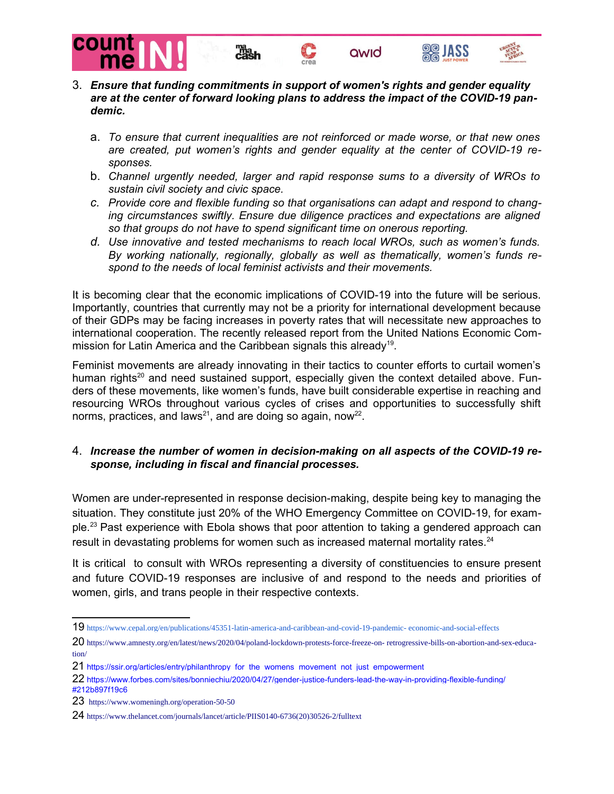







- 3. *Ensure that funding commitments in support of women's rights and gender equality are at the center of forward looking plans to address the impact of the COVID-19 pandemic.*
	- a. *To ensure that current inequalities are not reinforced or made worse, or that new ones are created, put women's rights and gender equality at the center of COVID-19 responses.*
	- b. *Channel urgently needed, larger and rapid response sums to a diversity of WROs to sustain civil society and civic space.*
	- *c. Provide core and flexible funding so that organisations can adapt and respond to changing circumstances swiftly. Ensure due diligence practices and expectations are aligned so that groups do not have to spend significant time on onerous reporting.*
	- *d. Use innovative and tested mechanisms to reach local WROs, such as women's funds. By working nationally, regionally, globally as well as thematically, women's funds respond to the needs of local feminist activists and their movements.*

It is becoming clear that the economic implications of COVID-19 into the future will be serious. Importantly, countries that currently may not be a priority for international development because of their GDPs may be facing increases in poverty rates that will necessitate new approaches to international cooperation. The recently released report from the United Nations Economic Com-mission for Latin America and the Caribbean signals this already<sup>[19](#page-2-0)</sup>.

Feminist movements are already innovating in their tactics to counter efforts to curtail women's human rights<sup>[20](#page-2-1)</sup> and need sustained support, especially given the context detailed above. Funders of these movements, like women's funds, have built considerable expertise in reaching and resourcing WROs throughout various cycles of crises and opportunities to successfully shift norms, practices, and laws<sup>[21](#page-2-2)</sup>, and are doing so again, now<sup>[22](#page-2-3)</sup>.

## 4. *Increase the number of women in decision-making on all aspects of the COVID-19 response, including in fiscal and financial processes.*

Women are under-represented in response decision-making, despite being key to managing the situation. They constitute just 20% of the WHO Emergency Committee on COVID-19, for example.[23](#page-2-4) Past experience with Ebola shows that poor attention to taking a gendered approach can result in devastating problems for women such as increased maternal mortality rates.<sup>[24](#page-2-5)</sup>

It is critical to consult with WROs representing a diversity of constituencies to ensure present and future COVID-19 responses are inclusive of and respond to the needs and priorities of women, girls, and trans people in their respective contexts.

<span id="page-2-0"></span><sup>19</sup> [https://www.cepal.org/en/publications/45351-latin-america-and-caribbean-and-covid-19-pandemic- economic-and-social-effects](https://www.cepal.org/en/publications/45351-latin-america-and-caribbean-and-covid-19-pandemic-economic-and-social-effects)

<span id="page-2-1"></span><sup>20</sup> [https://www.amnesty.org/en/latest/news/2020/04/poland-lockdown-protests-force-freeze-on- retrogressive-bills-on-abortion-and-sex-educa](https://www.amnesty.org/en/latest/news/2020/04/poland-lockdown-protests-force-freeze-on-retrogressive-bills-on-abortion-and-sex-education/)[tion/](https://www.amnesty.org/en/latest/news/2020/04/poland-lockdown-protests-force-freeze-on-retrogressive-bills-on-abortion-and-sex-education/)

<span id="page-2-2"></span><sup>21</sup> [https://ssir.org/articles/entry/philanthropy\\_for\\_the\\_womens\\_movement\\_not\\_just\\_empowerment](https://ssir.org/articles/entry/philanthropy_for_the_womens_movement_not_just_empowerment)

<span id="page-2-3"></span><sup>22</sup> [https://www.forbes.com/sites/bonniechiu/2020/04/27/gender-justice-funders-lead-the-way-in-providing-flexible-funding/](https://www.forbes.com/sites/bonniechiu/2020/04/27/gender-justice-funders-lead-the-way-in-providing-flexible-funding/%23212b897f19c6) [#212b897f19c6](https://www.forbes.com/sites/bonniechiu/2020/04/27/gender-justice-funders-lead-the-way-in-providing-flexible-funding/%23212b897f19c6)

<span id="page-2-4"></span><sup>23</sup> <https://www.womeningh.org/operation-50-50>

<span id="page-2-5"></span><sup>24</sup> [https://www.thelancet.com/journals/lancet/article/PIIS0140-6736\(20\)30526-2/fulltext](https://www.thelancet.com/journals/lancet/article/PIIS0140-6736(20)30526-2/fulltext)